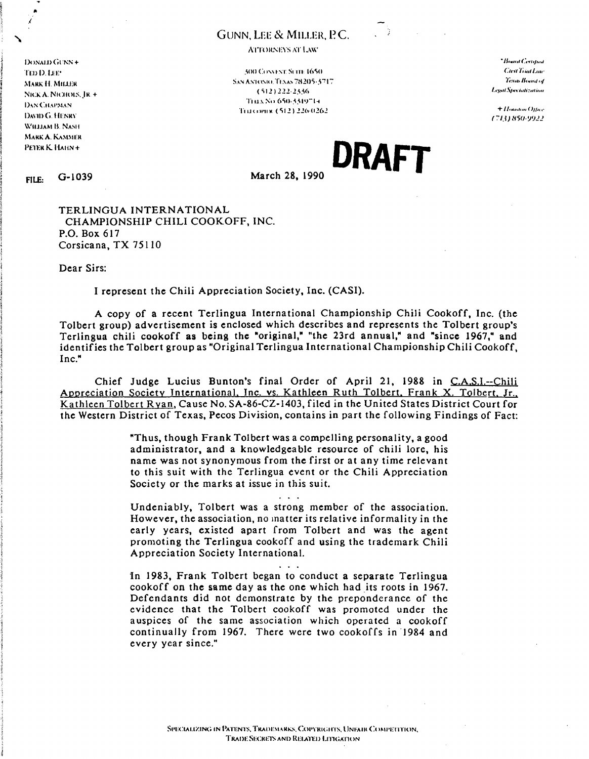## **GUNN. LEE & MILLER. P.C.**

DONALD GUNN + TED D. LEET **MARK H. MILLER** NICK A. NICHOLS, IR. + **DAN CHAPMAN** DAVID G. HENRY WILLIAM B. NASH MARK A. KAMMER PETER K. HAHN+

**ATTORNEYS AT LAW** 

**300 CONVEYT SCITE 1650** SAN ANTONIO, TEXAS 78205-5717.  $(512)$  222-2336 THEX No. 650-3319714. Tru.com x (512) 226-0262

\*Board Certain d **Cteit Triat Law** Texas Board of Legal Specialization

+ Houston Office (713) 850-9922

DRAFT

 $G-1039$ FILE:

March 28, 1990

TERLINGUA INTERNATIONAL CHAMPIONSHIP CHILI COOKOFF, INC. P.O. Box 617 Corsicana, TX 75110

Dear Sirs:

I represent the Chili Appreciation Society, Inc. (CASI).

A copy of a recent Terlingua International Championship Chili Cookoff, Inc. (the Tolbert group) advertisement is enclosed which describes and represents the Tolbert group's Terlingua chili cookoff as being the "original," "the 23rd annual," and "since 1967," and identifies the Tolbert group as "Original Terlingua International Championship Chili Cookoff.  $Inc.$ 

Chief Judge Lucius Bunton's final Order of April 21, 1988 in C.A.S.I.--Chili Appreciation Society International, Inc. vs. Kathleen Ruth Tolbert, Frank X. Tolbert, Jr., Kathleen Tolbert Ryan, Cause No. SA-86-CZ-1403, filed in the United States District Court for the Western District of Texas, Pecos Division, contains in part the following Findings of Fact:

> "Thus, though Frank Tolbert was a compelling personality, a good administrator, and a knowledgeable resource of chili lore, his name was not synonymous from the first or at any time relevant to this suit with the Terlingua event or the Chili Appreciation Society or the marks at issue in this suit.

> Undeniably, Tolbert was a strong member of the association. However, the association, no matter its relative informality in the early years, existed apart from Tolbert and was the agent promoting the Terlingua cookoff and using the trademark Chili Appreciation Society International.

> In 1983, Frank Tolbert began to conduct a separate Terlingua cookoff on the same day as the one which had its roots in 1967. Defendants did not demonstrate by the preponderance of the evidence that the Tolbert cookoff was promoted under the auspices of the same association which operated a cookoff continually from 1967. There were two cookoffs in 1984 and every year since."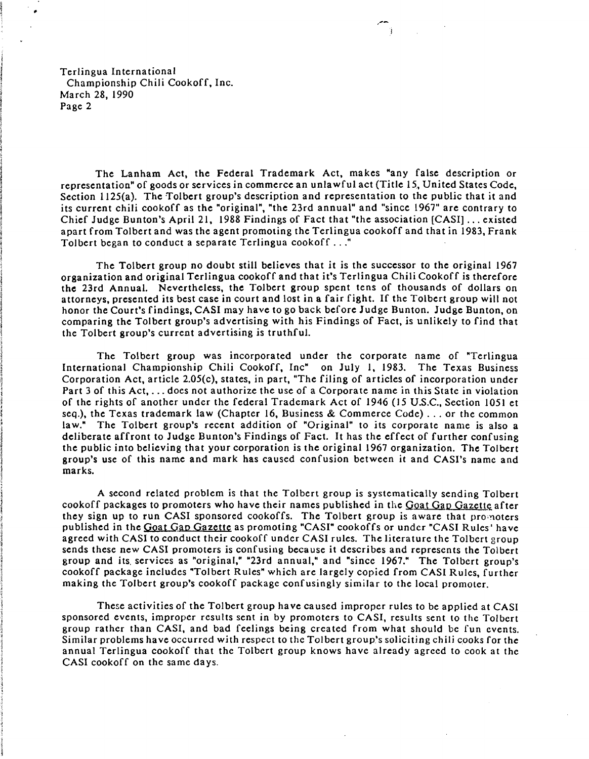Terlingua International Championship Chili Cookoff, Inc. March 28, 1990 Page 2

The Lanham Act, the Federal Trademark Act, makes "any false description Or representation" of goods or services in commerce an unlawful act (Title IS, United States Code, Section 1125(a). The Tolbert group's description and representation to the public that it and its current chili cookoff as the "original", "the 23rd annual" and "since 1967" are contrary to Chief Judge Bunton's April 21, 1988 Findings of Fact that "the association [CASI] ... existed apart from Tolbert and was the agent promoting the Terlingua cookoff and that in 1983, Frank Tolbert began to conduct a separate Terlingua cookoff ..."

The Tolbert group no doubt still believes that it is the successor to the original 1967 organization and original Terlingua cookoff and that it's Terlingua Chili Cookoff is therefore the 23rd Annual. Nevertheless, the Tolbert group spent tens of thousands of dollars on attorneys, presented its best case in court and lost in a fair fight. If the Tolbert group will not honor the Court's findings, CASI may have to go back before Judge Bunton. Judge Bunton, on comparing the Tolbert group's advertising with his Findings of Fact, is unlikely to find that the Tolbert group's current advertising is truthful.

The Tolbert group was incorporated under the corporate name of "Terlingua International Championship Chili Cookoff, Inc" on July I, 1983. The Texas Business Corporation Act, article 2.05(c), states, in part, "The filing of articles of incorporation under Part 3 of this Act, ... does not authorize the use of a Corporate name in this State in violation of the rights of another under the federal Trademark Act of 1946 (15 U.S.C., Section 1051 et seq.), the Texas trademark law (Chapter 16, Business & Commerce Code) ... or the common law." The Tolbert group's recent addition of "Original" to its corporate name is also a deliberate affront to Judge Bunton's Findings of Fact. It has the effect of further confusing the public into believing that your corporation is the original 1967 organization. The Tolbert group's use of this name and mark has caused confusion between it and CASI's name and marks.

A second related problem is that the Tolbert group is systematically sending Tolbert cookoff packages to promoters who have their names published in the Goat Gap Gazette after they sign up to run CASI sponsored cookoffs. The Tolbert group is aware that promoters published in the Goat Gap Gazette as promoting "CASI" cookoffs or under "CASI Rules' have agreed with CAS1 to conduct their cookoff under CAS1 rules. The literature the Tolbert group sends these new CASI promoters is confusing because it describes and represents the Tolbert group and its. services as "original," "23rd annual," and "since 1967." The Tolbert group's cookoff package includes "Tolbert Rules" which are largely copied from CASI Rules, further making the Tolbert group's cookoff package confusingly similar to the local promoter.

These activities of the Tolbert group have caused improper rules to be applied at CASI sponsored events, improper results sent in by promoters to CASI, results sent to the Tolbert group rather than CASI, and bad feelings being created from what should be fun events. Similar problems have occurred with respect to the Tolbert group's soliciting chili cooks for the annual Terlingua cookoff that the Tolbert group knows have already agreed to cook at the CASI cookoff on the same days.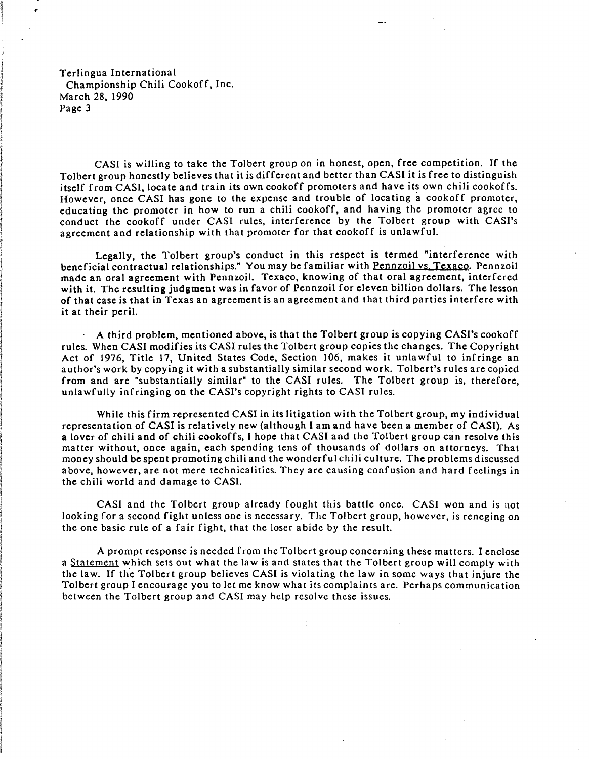Terlingua International Championship Chili Cookoff, Inc. March 28, 1990 Page 3

 $\cdot$   $\cdot$ 

CASI is willing to take the Tolbert group on in honest, open, free competition. If the Tolbert group honestly believes that it is different and better than CASI it is free to distinguish itself from CASI, locate and train its own cookoff promoters and have its own chili cookoffs. However, once CASI has gone to the expense and trouble of locating a cookoff promoter, educating the promoter in how to run a chili cookoff, and having the promoter agree to conduct the cookoff under CASI rules, interference by the Tolbert group with CASI's agreement and relationship with that promoter for that cookoff is unlawful.

Legally, the Tolbert group's conduct in this respect is termed "interference with beneficial contractual relationships." You may be familiar with Pennzoil vs. Texaco. Pennzoil made an oral agreement with Pennzoil. Texaco, knowing of that oral agreement, interfered with it. The resulting judgment was in favor of Pennzoil for eleven billion dollars. The lesson of that case is that in Texas an agreement is an agreement and that third parties interfere with it at their peril.

 $\overline{A}$  third problem, mentioned above, is that the Tolbert group is copying CASI's cookoff rules. When CASI modifies its CASI rules the Tolbert group copies the changes. The Copyright Act of 1976, Title 17, United States Code, Section 106, makes it unlawful to infringe an author's work by copying it with a substantially similar second work. Tolbert's rules are copied from and are "substantially similar" to the CASI rules. The Tolbert group is, therefore, unlawfully infringing on the CASI's copyright rights to CASI rules.

While this firm represented CASI in its litigation with the Tolbert group, my individual representation of CASI is relatively new (although I am and have been a member of CASI). As a lover of chili and of chili cookoffs, I hope that CASI and the Tolbert group can resolve this matter without, once again, each spending tens of thousands of dollars on attorneys. That money should be spent promoting chili and the wonderful chili culture. The problems discussed above, however, are not mere technicalities. They are causing confusion and hard feelings in the chili world and damage to CASI.

CASI and the Tolbert group already fought this battle once. CASI won and is not looking for a second fight unless one is necessary. The Tolbert group, however, is reneging on the one basic rule of a fair fight, that the loser abide by the result.

A prompt response is needed from the Tolbert group concerning these matters. I enclose a Statement which sets out what the law is and states that the Tolbert group will comply with the law. If the Tolbert group believes CASI is violating the law in some ways that injure the Tolbert group I encourage you to let me know what its complaints are. Perhaps communication between the Tolbert group and CASI may help resolve these issues.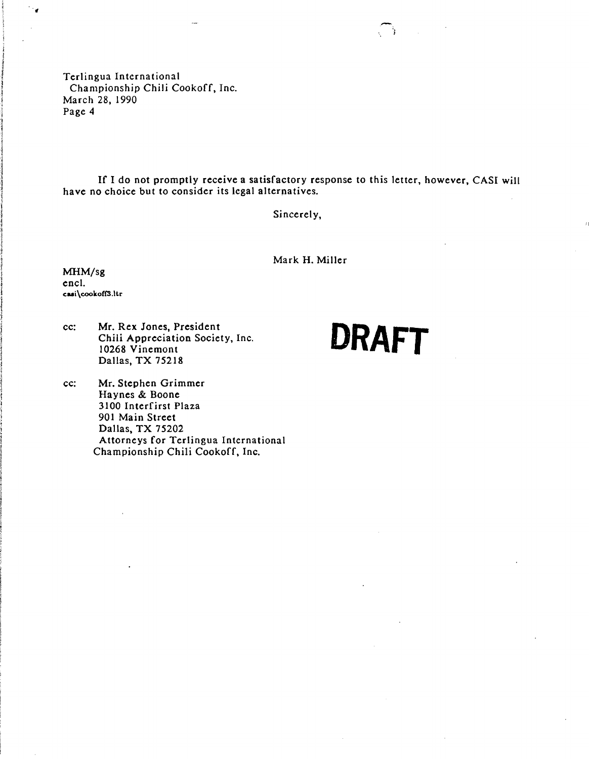Terlingua International Championship Chili Cookoff, Inc. March 28, 1990 Page 4

If I do not promptly receive a satisfactory response to this letter, however, CASI will have no choice but to consider its legal alternatives.

Sincerely,

Mark H. Miller

MHM/sg encl. caai\cookoff3.ltr

1 1

J **Watches** 

 $\ddot{\phantom{0}}$ 

cc: Mr. Rex Jones, President Chili Appreciation Society, Inc. Dallas, TX 75218

DRAFT

 $\sim$   $\sim$ 

II

cc: Mr. Stephen Grimmer Haynes & Boone 3100 Interfirst Plaza 901 Main Street Dallas, TX 75202 Attorneys for Terlingua International Championship Chili Cookoff, Inc.